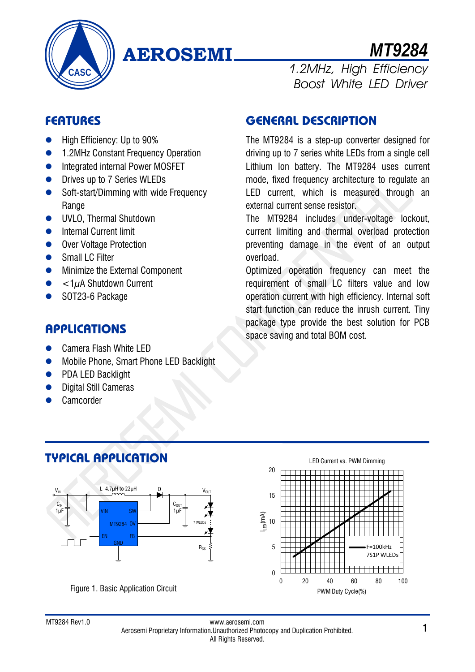

# **AEROSEMI** *MT9284*

# **FEATURES**

- High Efficiency: Up to 90%
- **1.2MHz Constant Frequency Operation**
- **•** Integrated internal Power MOSFET
- **•** Drives up to 7 Series WLEDs
- Soft-start/Dimming with wide Frequency **Range**
- **UVLO, Thermal Shutdown**
- **•** Internal Current limit
- Over Voltage Protection
- Small LC Filter
- **•** Minimize the External Component
- $\bullet$  <  $1\mu$ A Shutdown Current
- SOT23-6 Package

## **APPLICATIONS**

● Camera Flash White LED

**TYPICAL APPLICATION**

- **Mobile Phone, Smart Phone LED Backlight**
- PDA LED Backlight
- Digital Still Cameras
- Camcorder

# **GENERAL DESCRIPTION**

The MT9284 is a step-up converter designed for driving up to 7 series white LEDs from a single cell Lithium Ion battery. The MT9284 uses current mode, fixed frequency architecture to regulate an LED current, which is measured through an external current sense resistor.

1.2MHz, High Efficiency

Boost White LED Driver

The MT9284 includes under-voltage lockout, current limiting and thermal overload protection preventing damage in the event of an output overload.

Optimized operation frequency can meet the requirement of small LC filters value and low operation current with high efficiency. Internal soft start function can reduce the inrush current. Tiny package type provide the best solution for PCB space saving and total BOM cost.



LED Current vs. PWM Dimming

#### www.aerosemi.com www.aerosemi.com<br>Aerosemi Proprietary Information.Unauthorized Photocopy and Duplication Prohibited. 1 All Rights Reserved.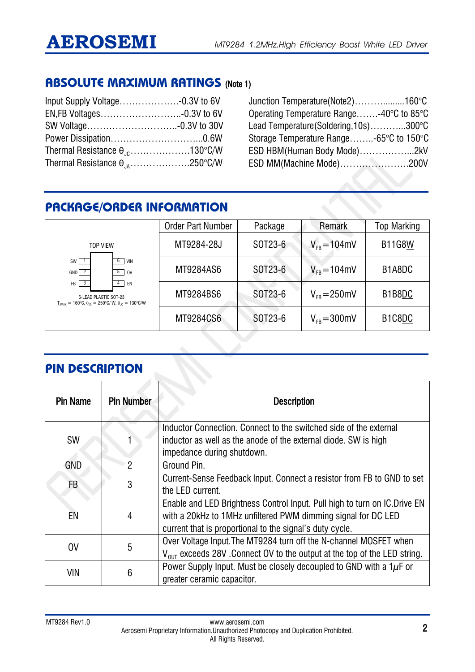#### **ABSOLUTE MAXIMUM RATINGS** (Note 1)

| Thermal Resistance $\theta_{10}$ 130°C/W |  |
|------------------------------------------|--|
| Thermal Resistance $\theta_{.A}$ 250°C/W |  |

Junction Temperature(Note2)……….........160°C Operating Temperature Range…….-40°C to 85°C Lead Temperature(Soldering,10s)………...300°C Storage Temperature Range……..-65°C to 150°C ESD HBM(Human Body Mode)……………...2kV ESD MM(Machine Mode)………………….200V

# **PACKAGE/ORDER INFORMATION**

|                                                                                                                                                | <b>Order Part Number</b> | Package | Remark            | <b>Top Marking</b>                           |
|------------------------------------------------------------------------------------------------------------------------------------------------|--------------------------|---------|-------------------|----------------------------------------------|
| <b>TOP VIFW</b>                                                                                                                                | MT9284-28J               | SOT23-6 | $V_{FB} = 104$ mV | <b>B11G8W</b>                                |
| $SW$ 1<br>$6$ VIN<br>$GND$ $2$<br>$5$ 0V                                                                                                       | MT9284AS6                | SOT23-6 | $V_{FB} = 104$ mV | B1A8DC                                       |
| $FB$ $3$<br>4<br>EN<br>6-LEAD PLASTIC SOT-23<br>$T_{.IMAX} = 160^{\circ}C$ , $\theta_{.IA} = 250^{\circ}C/W$ , $\theta_{.IC} = 130^{\circ}C/W$ | MT9284BS6                | SOT23-6 | $V_{FB} = 250$ mV | B1B8DC                                       |
|                                                                                                                                                | MT9284CS6                | SOT23-6 | $V_{FR} = 300$ mV | B <sub>1</sub> C <sub>8</sub> D <sub>C</sub> |

### **PIN DESCRIPTION**

| <b>Pin Name</b> | <b>Pin Number</b> | <b>Description</b>                                                                     |
|-----------------|-------------------|----------------------------------------------------------------------------------------|
|                 |                   | Inductor Connection. Connect to the switched side of the external                      |
| <b>SW</b>       |                   | inductor as well as the anode of the external diode. SW is high                        |
|                 |                   | impedance during shutdown.                                                             |
| <b>GND</b>      | 2                 | Ground Pin.                                                                            |
| FB              | 3                 | Current-Sense Feedback Input. Connect a resistor from FB to GND to set                 |
|                 |                   | the LED current.                                                                       |
|                 |                   | Enable and LED Brightness Control Input. Pull high to turn on IC. Drive EN             |
| EN              | 4                 | with a 20kHz to 1 MHz unfiltered PWM dimming signal for DC LED                         |
|                 |                   | current that is proportional to the signal's duty cycle.                               |
| 0 <sup>V</sup>  | 5                 | Over Voltage Input. The MT9284 turn off the N-channel MOSFET when                      |
|                 |                   | $V_{\text{diff}}$ exceeds 28V . Connect OV to the output at the top of the LED string. |
|                 |                   | Power Supply Input. Must be closely decoupled to GND with a $1\mu$ F or                |
| VIN             | 6                 | greater ceramic capacitor.                                                             |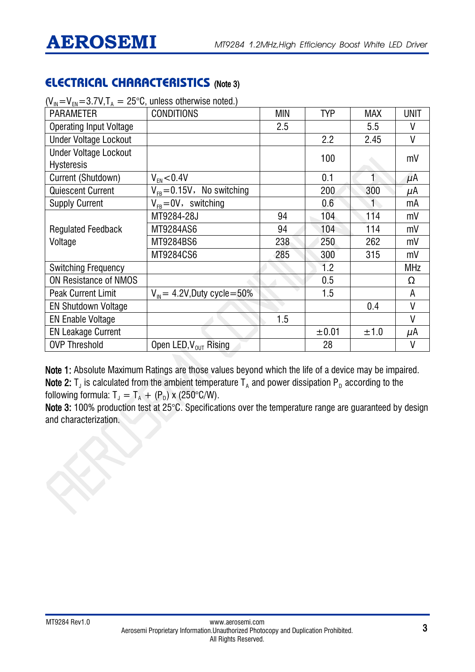# **ELECTRICAL CHARACTERISTICS** (Note 3)

| $\mathbf{v}_{\text{IN}} - \mathbf{v}_{\text{FN}} - \mathbf{v}_{\text{I}}$ , $\mathbf{v}_{\text{I}}$ , $\mathbf{v}_{\text{I}}$ = 20 $\mathbf{v}_{\text{I}}$ annegge out when we hold $\mathbf{u}_{\text{I}}$ |                                          |     |       |            |            |
|-------------------------------------------------------------------------------------------------------------------------------------------------------------------------------------------------------------|------------------------------------------|-----|-------|------------|------------|
| <b>PARAMETER</b>                                                                                                                                                                                            | <b>CONDITIONS</b>                        | MIN | TYP   | <b>MAX</b> | UNIT       |
| <b>Operating Input Voltage</b>                                                                                                                                                                              |                                          | 2.5 |       | 5.5        | V          |
| <b>Under Voltage Lockout</b>                                                                                                                                                                                |                                          |     | 2.2   | 2.45       | V          |
| <b>Under Voltage Lockout</b>                                                                                                                                                                                |                                          |     | 100   |            | mV         |
| <b>Hysteresis</b>                                                                                                                                                                                           |                                          |     |       |            |            |
| Current (Shutdown)                                                                                                                                                                                          | $V_{FN}$ < 0.4V                          |     | 0.1   |            | μΑ         |
| <b>Quiescent Current</b>                                                                                                                                                                                    | $V_{FB} = 0.15V$ , No switching          |     | 200   | 300        | μΑ         |
| <b>Supply Current</b>                                                                                                                                                                                       | $V_{FB} = 0V$ , switching                |     | 0.6   |            | mA         |
|                                                                                                                                                                                                             | MT9284-28J                               | 94  | 104   | 114        | mV         |
| <b>Regulated Feedback</b>                                                                                                                                                                                   | MT9284AS6                                | 94  | 104   | 114        | mV         |
| Voltage                                                                                                                                                                                                     | MT9284BS6                                | 238 | 250   | 262        | mV         |
|                                                                                                                                                                                                             | MT9284CS6                                | 285 | 300   | 315        | mV         |
| <b>Switching Frequency</b>                                                                                                                                                                                  |                                          |     | 1.2   |            | <b>MHz</b> |
| ON Resistance of NMOS                                                                                                                                                                                       |                                          |     | 0.5   |            | Ω          |
| <b>Peak Current Limit</b>                                                                                                                                                                                   | $V_{\text{in}}$ = 4.2V, Duty cycle = 50% |     | 1.5   |            | A          |
| <b>EN Shutdown Voltage</b>                                                                                                                                                                                  |                                          |     |       | 0.4        | V          |
| <b>EN Enable Voltage</b>                                                                                                                                                                                    |                                          | 1.5 |       |            | V          |
| <b>EN Leakage Current</b>                                                                                                                                                                                   |                                          |     | ±0.01 | ±1.0       | μΑ         |
| <b>OVP Threshold</b>                                                                                                                                                                                        | Open LED, $V_{OUT}$ Rising               |     | 28    |            | ۷          |
|                                                                                                                                                                                                             |                                          |     |       |            |            |

 $(V_m=V_m=3.7V$ , T = 25°C, unless otherwise noted.)

Note 1: Absolute Maximum Ratings are those values beyond which the life of a device may be impaired. Note 2:  $T_J$  is calculated from the ambient temperature  $T_A$  and power dissipation P<sub>D</sub> according to the

following formula:  $T_J = T_A + (P_D) \times (250^{\circ}C/W)$ .

Note 3: 100% production test at 25°C. Specifications over the temperature range are guaranteed by design and characterization.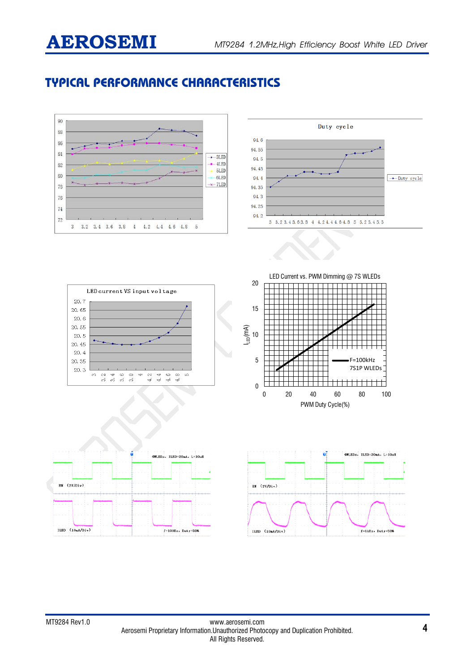# **TYPICAL PERFORMANCE CHARACTERISTICS**

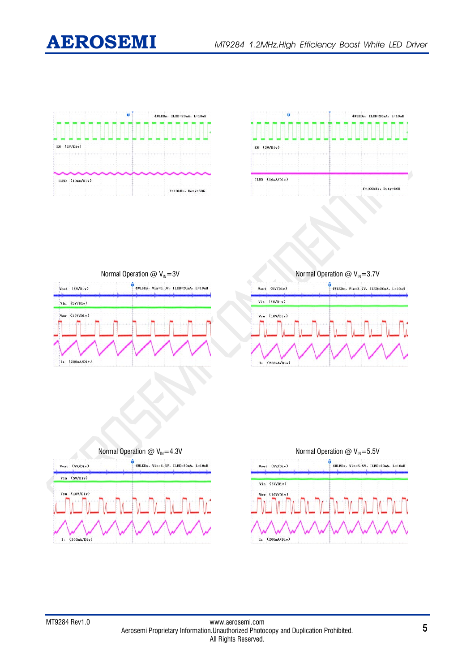

| Ü               | 4WLEDs, ILED=20mA, L=10uH |  |  |  |
|-----------------|---------------------------|--|--|--|
|                 |                           |  |  |  |
| BN (2V/Div)     |                           |  |  |  |
|                 |                           |  |  |  |
| ILED (10mA/Div) |                           |  |  |  |
|                 | $f=10kHz$ . Duty=50%      |  |  |  |



| Vout (SV/Div) | 4WLEDs. Vin=3.0V. ILED=20mA. L=10uH |
|---------------|-------------------------------------|
| Vin (5V/Div)  |                                     |
| Vsw (10V/Div) |                                     |
|               |                                     |
|               |                                     |
|               |                                     |

Normal Operation @  $V_{\text{IN}}=3.7V$  $\frac{1}{4}$  4WLEDs, Vin=3.7V, ILED=20mA, L=10uH Vout (SV/Div)  $Vin (SV/Div)$  $(10V/Div)$  $I_1$  (200mA/Div)



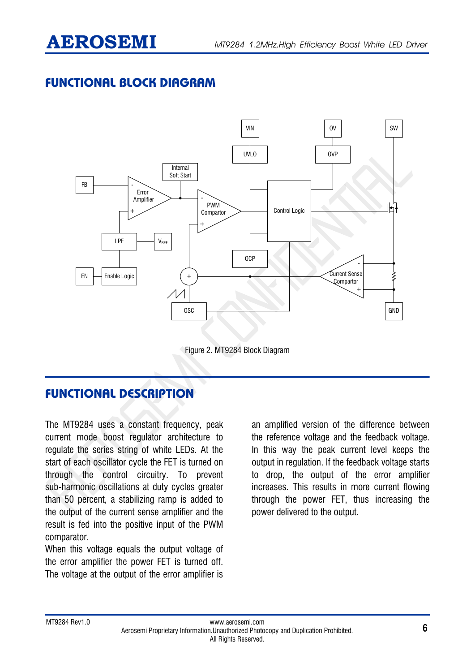# **FUNCTIONAL BLOCK DIAGRAM**



Figure 2. MT9284 Block Diagram

# **FUNCTIONAL DESCRIPTION**

The MT9284 uses a constant frequency, peak current mode boost regulator architecture to regulate the series string of white LEDs. At the start of each oscillator cycle the FET is turned on through the control circuitry. To prevent sub-harmonic oscillations at duty cycles greater than 50 percent, a stabilizing ramp is added to the output of the current sense amplifier and the result is fed into the positive input of the PWM comparator.

When this voltage equals the output voltage of the error amplifier the power FET is turned off. The voltage at the output of the error amplifier is

an amplified version of the difference between the reference voltage and the feedback voltage. In this way the peak current level keeps the output in regulation. If the feedback voltage starts to drop, the output of the error amplifier increases. This results in more current flowing through the power FET, thus increasing the power delivered to the output.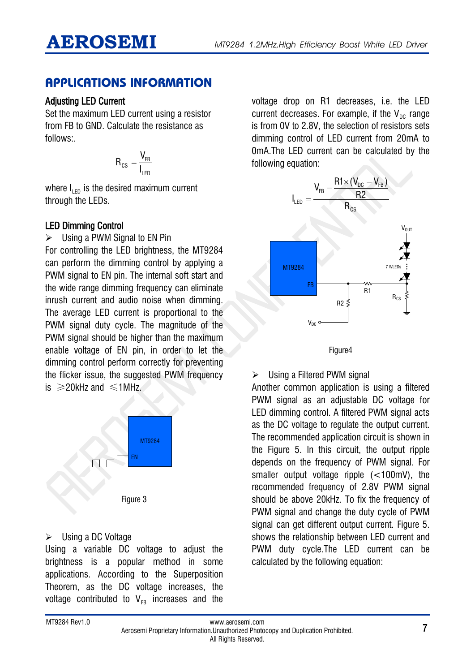### **APPLICATIONS INFORMATION**

#### Adjusting LED Current

Set the maximum LED current using a resistor from FB to GND. Calculate the resistance as follows:.

$$
R_{cs} = \frac{V_{FB}}{I_{LED}}
$$

where  $I_{\text{LED}}$  is the desired maximum current through the LEDs.

#### LED Dimming Control

 $\triangleright$  Using a PWM Signal to EN Pin For controlling the LED brightness, the MT9284 can perform the dimming control by applying a PWM signal to EN pin. The internal soft start and the wide range dimming frequency can eliminate inrush current and audio noise when dimming. The average LED current is proportional to the PWM signal duty cycle. The magnitude of the PWM signal should be higher than the maximum enable voltage of EN pin, in order to let the dimming control perform correctly for preventing the flicker issue, the suggested PWM frequency is  $\geq$ 20kHz and  $\leq$ 1MHz.



#### ▶ Using a DC Voltage

Using a variable DC voltage to adjust the brightness is a popular method in some applications. According to the Superposition Theorem, as the DC voltage increases, the voltage contributed to  $V_{FR}$  increases and the

voltage drop on R1 decreases, i.e. the LED current decreases. For example, if the  $V_{\text{nc}}$  range is from 0V to 2.8V, the selection of resistors sets dimming control of LED current from 20mA to 0mA.The LED current can be calculated by the following equation:



Figure4

 $\triangleright$  Using a Filtered PWM signal

Another common application is using a filtered PWM signal as an adjustable DC voltage for LED dimming control. A filtered PWM signal acts as the DC voltage to regulate the output current. The recommended application circuit is shown in the Figure 5. In this circuit, the output ripple depends on the frequency of PWM signal. For smaller output voltage ripple (<100mV), the recommended frequency of 2.8V PWM signal should be above 20kHz. To fix the frequency of PWM signal and change the duty cycle of PWM signal can get different output current. Figure 5. shows the relationship between LED current and PWM duty cycle.The LED current can be calculated by the following equation: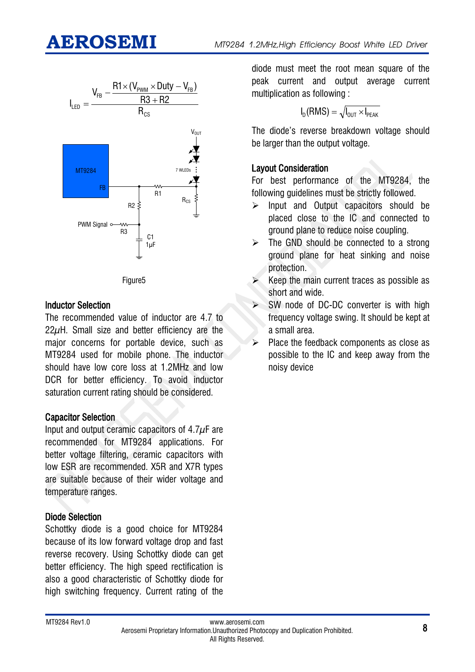



#### Inductor Selection

The recommended value of inductor are 4.7 to 22 $\mu$ H. Small size and better efficiency are the major concerns for portable device, such as MT9284 used for mobile phone. The inductor should have low core loss at 1.2MHz and low DCR for better efficiency. To avoid inductor saturation current rating should be considered.

#### Capacitor Selection

Input and output ceramic capacitors of  $4.7\mu$ F are recommended for MT9284 applications. For better voltage filtering, ceramic capacitors with low ESR are recommended. X5R and X7R types are suitable because of their wider voltage and temperature ranges.

#### Diode Selection

Schottky diode is a good choice for MT9284 because of its low forward voltage drop and fast reverse recovery. Using Schottky diode can get better efficiency. The high speed rectification is also a good characteristic of Schottky diode for high switching frequency. Current rating of the

diode must meet the root mean square of the peak current and output average current multiplication as following :

$$
I_D(RMS) = \sqrt{I_{OUT} \times I_{PEAK}}
$$

The diode's reverse breakdown voltage should be larger than the output voltage.

#### Layout Consideration

For best performance of the MT9284, the following guidelines must be strictly followed.

- $\triangleright$  Input and Output capacitors should be placed close to the IC and connected to ground plane to reduce noise coupling.
- $\triangleright$  The GND should be connected to a strong ground plane for heat sinking and noise protection.
- Keep the main current traces as possible as short and wide.
- $\triangleright$  SW node of DC-DC converter is with high frequency voltage swing. It should be kept at a small area.
- $\triangleright$  Place the feedback components as close as possible to the IC and keep away from the noisy device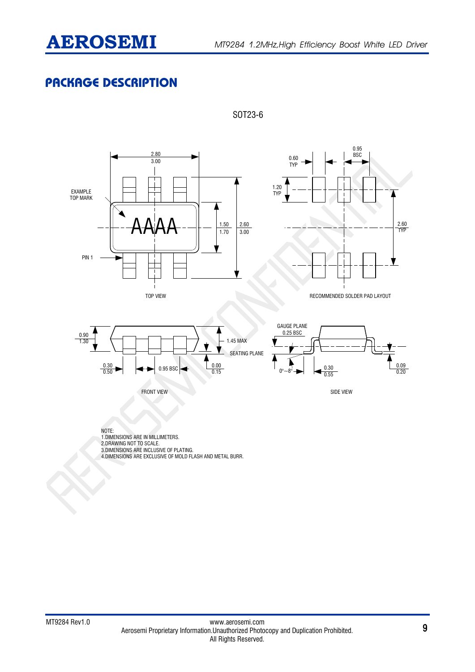# **PACKAGE DESCRIPTION**



SOT23-6

4.DIMENSIONS ARE EXCLUSIVE OF MOLD FLASH AND METAL BURR.